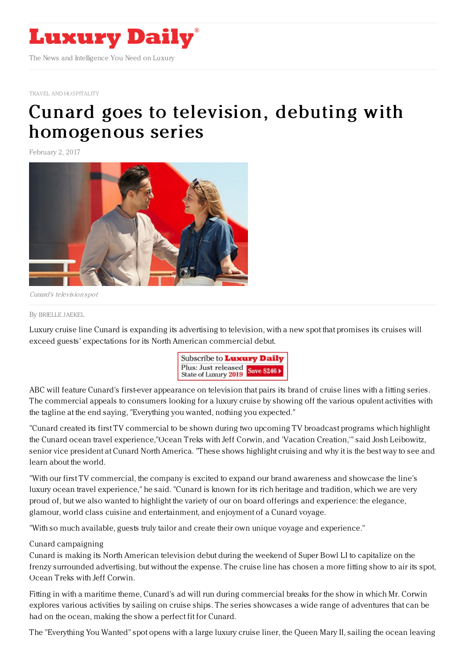

TRAVEL AND [HOSPITALITY](https://www.luxurydaily.com/category/travelandhospitality)

# Cunard goes to television, debuting with [homogenous](https://www.luxurydaily.com/cunard-goes-to-television-debuting-with-homogenous-series/) series

February 2, 2017



Cunard's television spot

#### By [BRIELLE](file:///author/brielle-jaekel) JAEKEL

Luxury cruise line Cunard is expanding its advertising to television, with a new spot that promises its cruises will exceed guests' expectations for its North American commercial debut.



ABC will feature Cunard's first-ever appearance on television that pairs its brand of cruise lines with a fitting series. The commercial appeals to consumers looking for a luxury cruise by showing off the various opulent activities with the tagline at the end saying, "Everything you wanted, nothing you expected."

"Cunard created its first TV commercial to be shown during two upcoming TV broadcast programs which highlight the Cunard ocean travel experience,"Ocean Treks with Jeff Corwin, and 'Vacation Creation,'" said Josh Leibowitz, senior vice president at Cunard North America. "These shows highlight cruising and why it is the best way to see and learn about the world.

"With our first TV commercial, the company is excited to expand our brand awareness and showcase the line's luxury ocean travel experience," he said. "Cunard is known for its rich heritage and tradition, which we are very proud of, but we also wanted to highlight the variety of our on board offerings and experience: the elegance, glamour, world class cuisine and entertainment, and enjoyment of a Cunard voyage.

"With so much available, guests truly tailor and create their own unique voyage and experience."

#### Cunard campaigning

Cunard is making its North American television debut during the weekend of Super Bowl LI to capitalize on the frenzy surrounded advertising, but without the expense. The cruise line has chosen a more fitting show to air its spot, Ocean Treks with Jeff Corwin.

Fitting in with a maritime theme, Cunard's ad will run during commercial breaks for the show in which Mr. Corwin explores various activities by sailing on cruise ships. The series showcases a wide range of adventures that can be had on the ocean, making the show a perfect fit for Cunard.

The "Everything You Wanted" spot opens with a large luxury cruise liner, the Queen Mary II, sailing the ocean leaving